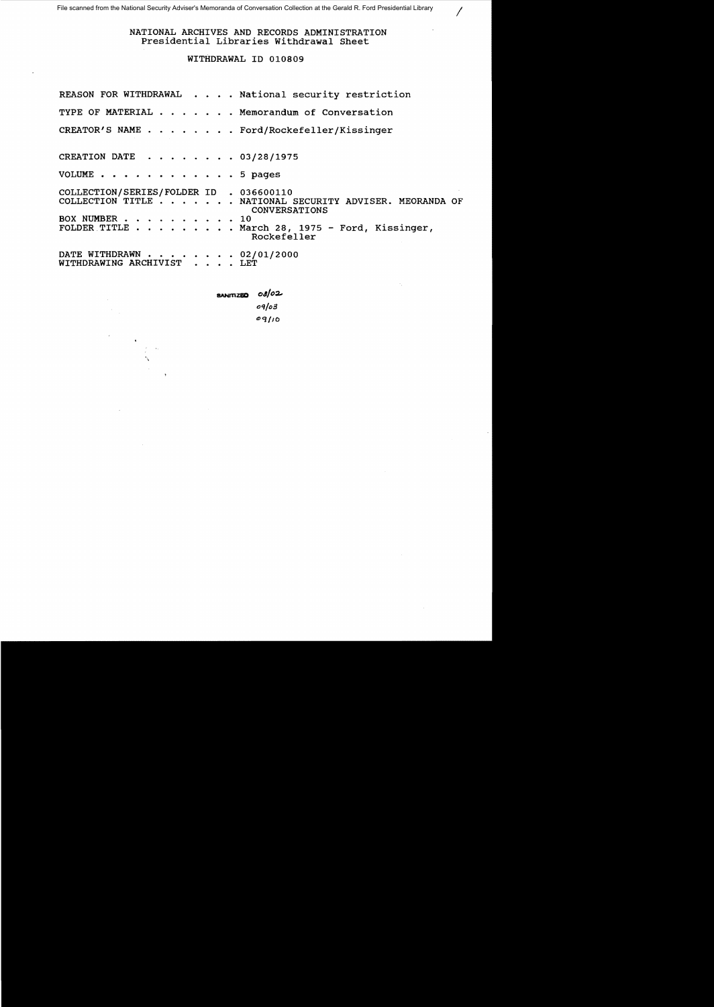NATIONAL ARCHIVES AND RECORDS ADMINISTRATION Presidential Libraries Withdrawal Sheet

/

### WITHDRAWAL ID 010809

|                                                          | REASON FOR WITHDRAWAL National security restriction                                                                                       |
|----------------------------------------------------------|-------------------------------------------------------------------------------------------------------------------------------------------|
|                                                          | TYPE OF MATERIAL Memorandum of Conversation                                                                                               |
|                                                          | CREATOR'S NAME Ford/Rockefeller/Kissinger                                                                                                 |
| CREATION DATE 03/28/1975                                 |                                                                                                                                           |
| VOLUME 5 pages                                           |                                                                                                                                           |
| COLLECTION/SERIES/FOLDER ID . 036600110<br>BOX NUMBER 10 | COLLECTION TITLE NATIONAL SECURITY ADVISER. MEORANDA OF<br>CONVERSATIONS<br>FOLDER TITLE March 28, 1975 - Ford, Kissinger,<br>Rockefeller |
| DATE WITHDRAWN 02/01/2000<br>WITHDRAWING ARCHIVIST LET   |                                                                                                                                           |

**SANITIZED**  $\cos/2$ *o'l/D3*   $0q/10$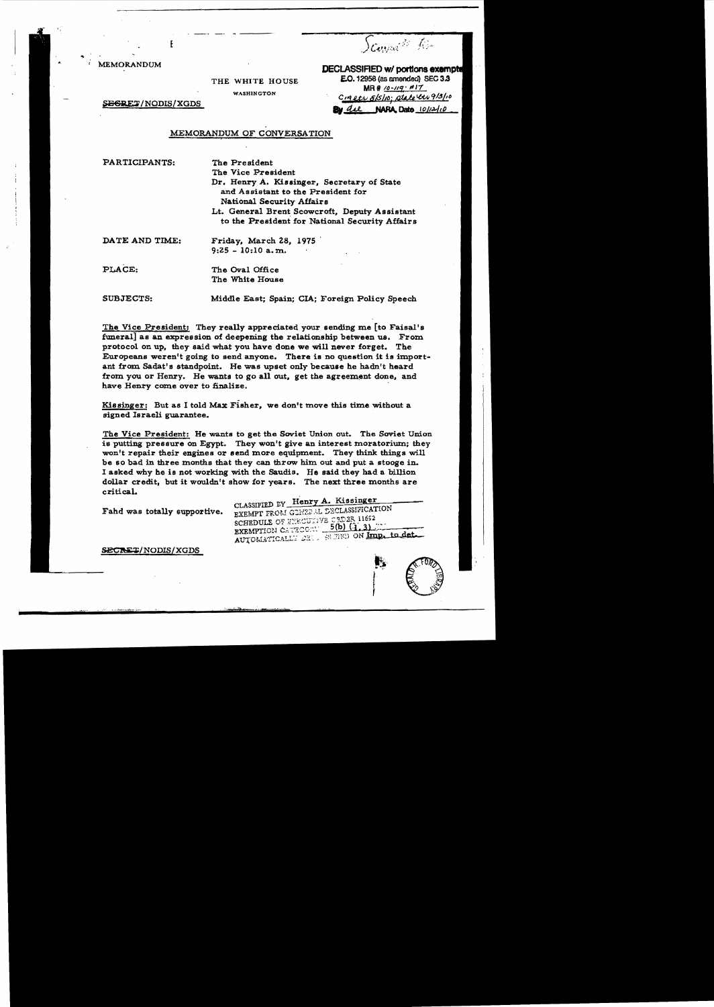Scourage of Re

**MEMORANDUM** 

**DECLASSIFIED w/ portions exempte** 

THE WHITE HOUSE WASHINGTON

E.O. 12958 (as amended) SEC 3.3  $MR# 10 - 119 + 117$ CIAREL SISIO: state et 9/3/10 NARA Dato 10/12/10 **Bu** die

**EGRET/NODIS/XGDS** 

#### MEMORANDUM OF CONVERSATION

PARTICIPANTS:

The President

The Vice President Dr. Henry A. Kissinger, Secretary of State and Assistant to the President for National Security Affairs Lt. General Brent Scowcroft, Deputy Assistant to the President for National Security Affairs

DATE AND TIME:

Friday, March 28, 1975  $9:25 - 10:10$  a.m.

PLACE:

The Oval Office The White House

**SUBJECTS:** 

Middle East; Spain; CIA; Foreign Policy Speech

The Vice President: They really appreciated your sending me [to Faisal's funeral as an expression of deepening the relationship between us. From protocol on up, they said what you have done we will never forget. The Europeans weren't going to send anyone. There is no question it is important from Sadat's standpoint. He was upset only because he hadn't heard from you or Henry. He wants to go all out, get the agreement done, and have Henry come over to finalize.

Kissinger: But as I told Max Fisher, we don't move this time without a signed Israeli guarantee.

The Vice President: He wants to get the Soviet Union out. The Soviet Union is putting pressure on Egypt. They won't give an interest moratorium; they won't repair their engines or send more equipment. They think things will be so bad in three months that they can throw him out and put a stooge in. I asked why he is not working with the Saudis. He said they had a billion dollar credit, but it wouldn't show for years. The next three months are critical.

Fahd was totally supportive.

CLASSIFIED BY Henry A. Kissinger EXEMPT FROM GENZE AL DECLASSIFICATION SCHEDULE OF THEODITYE SEEPER 11652 EXEMPTION CATEGORY 5(b) (1.3) AUTOMATICALLY 23 88 780 ON Imp. to det.

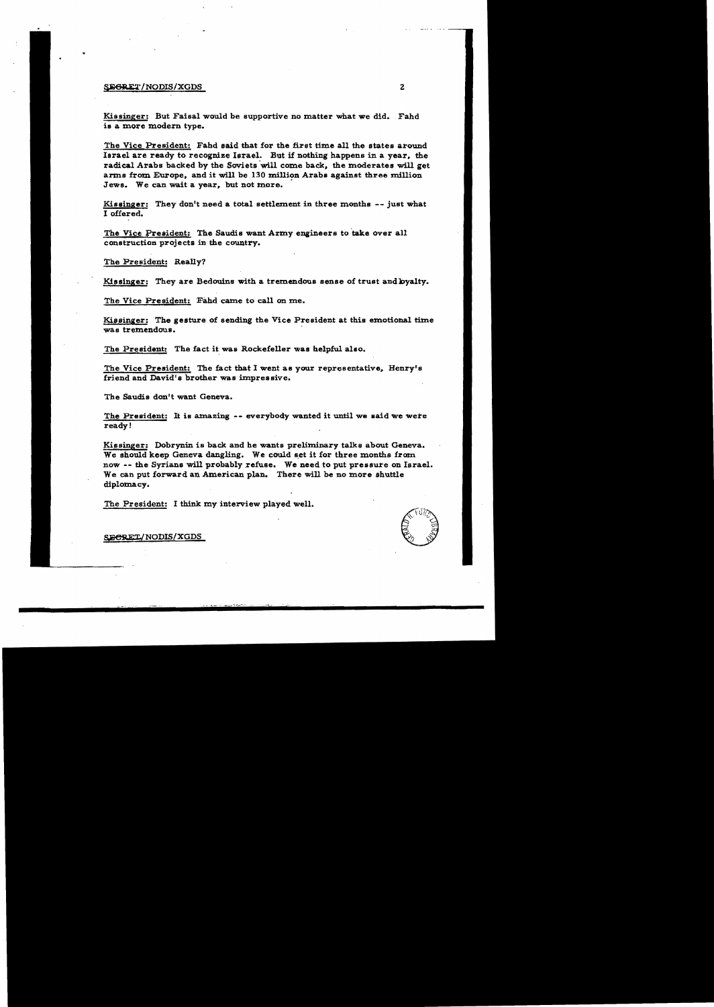#### SEGRET/NODIS/XGDS 2

Kissinger: But Faisal would be supportive no matter what we did. Fahd is a more modern type.

The Vice President: Fahd said that for the first time all the states around larael are ready to recogmze Israel. But if nothing happens in a year. the radical Arabs backed by the Soviets will come back, the moderates will get anns from Europe. and it will be 130 million Arabs against three million Jews. We can wait a year, but not more.

Kissinger: They don't need a total settlement in three months -- just what 1 offered.

The Vice President: The Saudis want Army engineers to take over all construction projects in the country.

The President: Really?

Kissinger: They are Bedouins with a tremendous sense of trust and byalty.

The Vice President: Fahd came to call on me.

Kissinger: The gesture of sending the Vice President at this emotional time was tremendous. .

The President: The fact it was Rockefeller was helpful also.

The Vice President: The fact that I went as your representative. Henry's friend and David's brother was impressive.

The Saudis don't want Geneva.

The President: It is amazing -- everybody wanted it until we said we were ready!

Kissinger: Dobrynin is back and he wants preliminary talks about Geneva. We should keep Geneva dangling. We could set it for three months from now -- the Syrians will probably refuse. We need to put pressure on Israel. We can put forward an American plan. There will be no more shuttle diplomacy.

The President: I think my interview played well.

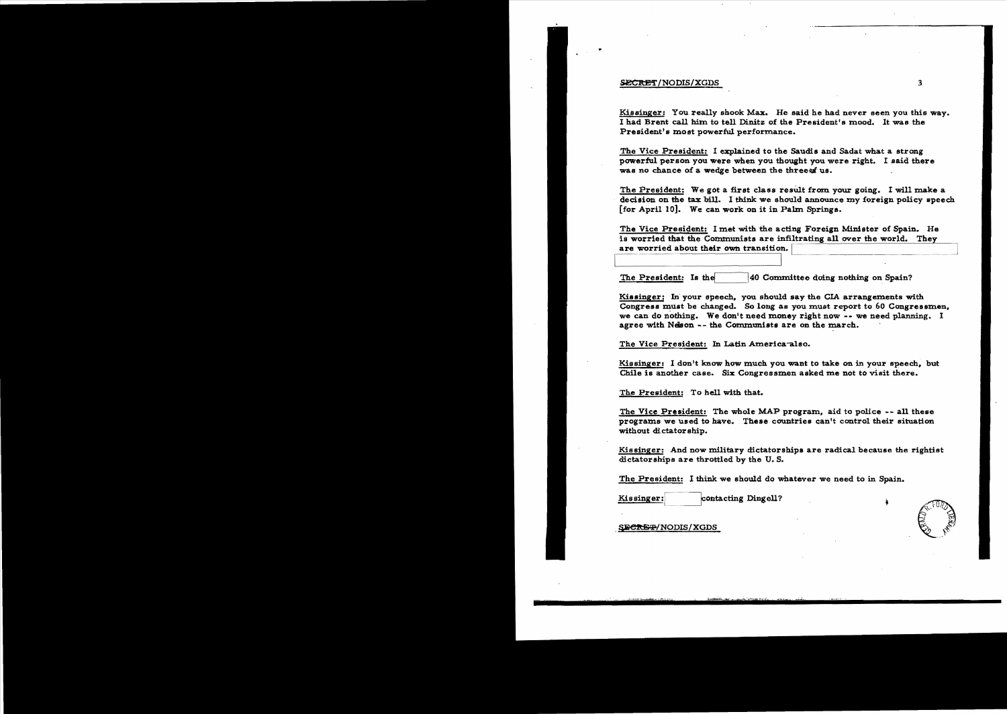#### SECRET/NODIS/XGDS

..

Kissinger: You really shook Max. He said he had never seen you this way. I had Brent call him to tell Dinitz of the President's mood. It was the President's most powerful performance.

The Vice President: I explained to the Saudis and Sadat what a strong powerful person you were when you thought you were right. I said there was no chance of a wedge between the three af us.

The President: We got a first class result from your going. I will make a decision on the tax bill. I think we should announce my foreign poliey speech [for April 10]. We can work on it in Palm Springs.

-- The Vice President: I met with the acting Foreign Minister of Spain. He is worried that the Communists are infiltrating all over the world. They are worried about their own transition.

The President: Is the  $\vert$ 40 Committee doing nothing on Spain?

Kissinger: In' your speech, you should say the CIA arrangements with Congress must be changed. So long as you must report to 60 Congressmen. we can do nothing. We don't need money right now -- we need planning. I agree with Nelson -- the Communists are on the march.

The Vice President: In Latin America-also.

Kissinger: I don't know how much you want to take on in your speech, but Chile is another case. Six Congressmen asked me not to visit there.

The President: To hell with that.

The Vice President: The whole MAP program, aid to police -- all these programs we used to have. These countries can't control their situation without dictatorship.

Kissinger: And now military dictatorships are radical because the rightist dictatorships are throttled by the U. S.

The President: I think we should do whatever we need to in Spain.

Kissinger: contacting Dingell?

*7T·* '""t~· *x.\_•.* ~'.'*\_\_ .c* 

SECREP/NODIS/XGDS

3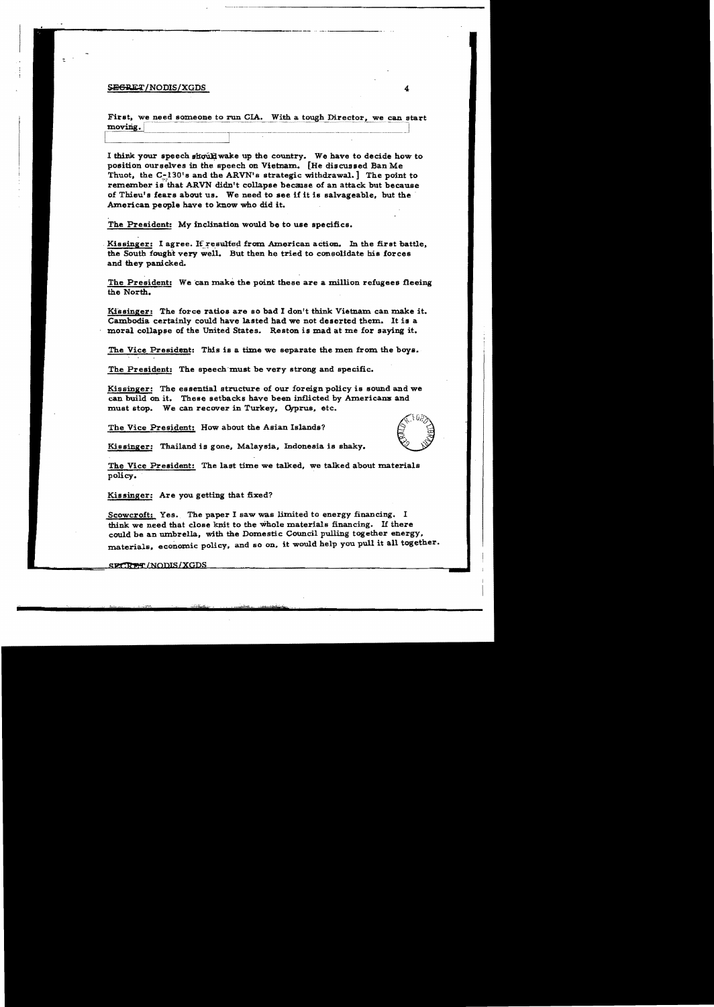#### SEGRET/NODIS/XGDS 4

First, we need someone to run CIA. With a tough Director, we can start moving.

I think your speech should wake up the country. We have to decide how to position ourselves in the speech on Vietnam. [He discussed Ban Me Thuot, the  $C-130$ 's and the ARVN's strategic withdrawal. The point to remember is that ARVN didn't collapse because of an attack but because of Thieu's fears about us. We need to see if it is salvageable. but the . American people have to know who did it.

The President: My inclination would be to use specifics.

Kissinger: I agree. If resulfed from American action. In the first battle. the South fought very well. But then he tried to consolidate his forces and they panicked.

The President: We can make the point these are a million refugees fleeing the North.

Kissinger: The force ratios are so bad I don't think Vietnam can make it. Cambodia certainly could have lasted had we not deserted them. It is a moral collapse of the United States. Reston is mad at me for saying it.

The Vice President: This is a time we separate the men from the boys.

The President: The speech must be very strong and specific.

Kissinger: The essential structure of our foreign policy is sound and we can build on it. These setbacks have been inflicted by Americans and must stop. We can recover in Turkey. Cyprus. etc.

The Vice President: How about the Asian Islands?



Kissinger: Thailand is gone, Malaysia, Indonesia is shaky.

The Vice President: The last time we talked, we talked about materials policy.

Kissinger: Are you getting that fixed?

Scowcroft: Yes. The paper I saw was limited to energy financing. I think we need that close knit to the whole materials financing. If there could be an mnbrella. with the Domestic Council pulling together energy. materials, economic policy, and so on, it would help you pull it all together.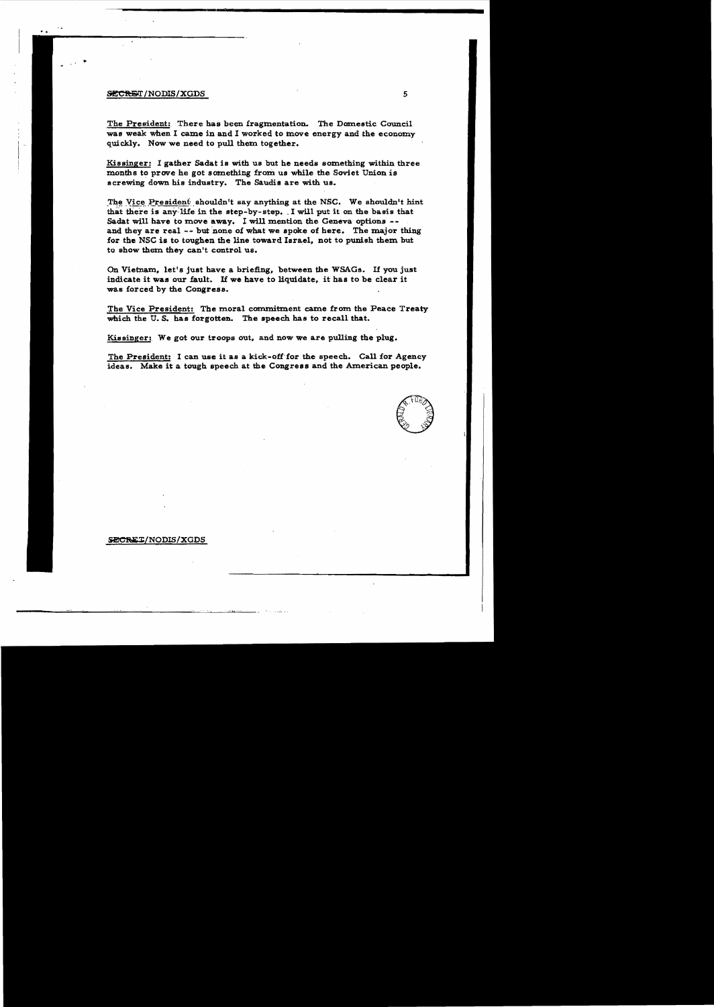#### **SECRET/NODIS/XGDS**

· "

> The President: There has been fragmentation. The Domestic Council was weak when I came in and I worked to move energy and the economy quickly. Now we need to pull them together.

> Kissinger: I gather Sadat is with us but he needs something within three months to prove he got something from us while the Soviet Union is screwing down his industry. The Saudis are with us.

> The Vice President shouldn't say anything at the NSC. We shouldn't hint that there is any life in the step-by-step. I will put it on the basis that Sadat will have to move away. I will mention the Geneva options -and they are real  $-$ - but none of what we spoke of here. The major thing for the NSC is to toughen the line toward Israel, not to punish them but to show them they can't control us.

On Vietnam, let's just have a briefing, between the WSAGs. If you just indicate it was our fault. If we have to liquidate, it has to be clear it was forced by the Congress.

The Vice President: The moral commitment came from the Peace Treaty which the U. S. has forgotten. The speech has to recall that.

Kissinger: We got our troops out, and now we are pulling the plug.

The President: I can use it as a kick-off for the speech. Call for Agency ideas. Make it a tough speech at the Congress and the American people.

 $70\%$ *c,* 0"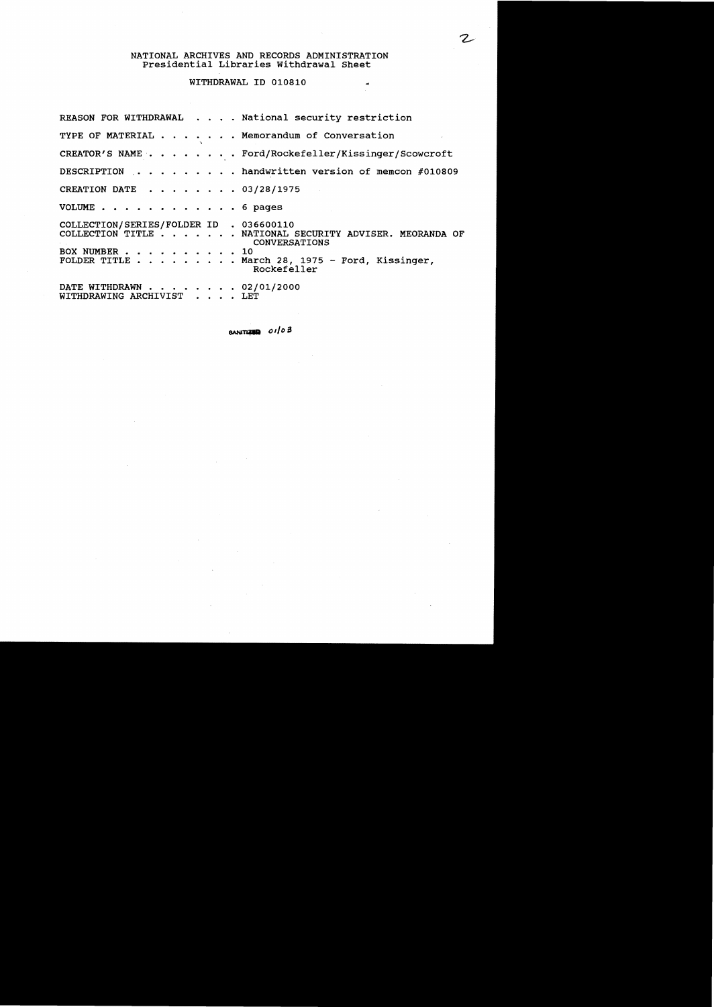# NATIONAL ARCHIVES AND RECORDS ADMINISTRATION Presidential Libraries withdrawal Sheet

## WITHDRAWAL ID 010810

| REASON FOR WITHDRAWAL National security restriction                                                                                                                                                   |
|-------------------------------------------------------------------------------------------------------------------------------------------------------------------------------------------------------|
| TYPE OF MATERIAL Memorandum of Conversation                                                                                                                                                           |
| CREATOR'S NAME Ford/Rockefeller/Kissinger/Scowcroft                                                                                                                                                   |
| DESCRIPTION handwritten version of memcon #010809                                                                                                                                                     |
| CREATION DATE 03/28/1975                                                                                                                                                                              |
| VOLUME 6 pages                                                                                                                                                                                        |
| COLLECTION/SERIES/FOLDER ID . 036600110<br>COLLECTION TITLE NATIONAL SECURITY ADVISER. MEORANDA OF<br>CONVERSATIONS<br>BOX NUMBER 10<br>FOLDER TITLE March 28, 1975 - Ford, Kissinger,<br>Rockefeller |
| DATE WITHDRAWN 02/01/2000<br>WITHDRAWING ARCHIVIST LET                                                                                                                                                |

GANI~ *01/0£1* 

 $\tilde{\mathcal{A}}$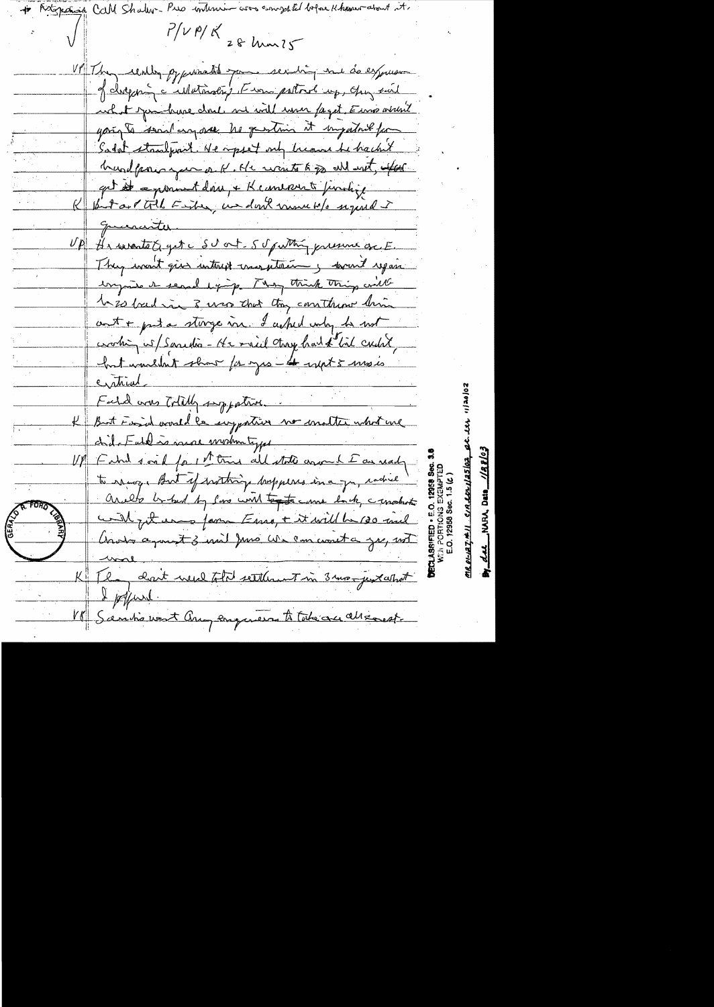Call Shaller- $P/V$  P/  $K$ 28 Mar 25 VP They cently gypressations para sexisting me do expression of dregoing a intervaling Finance postorol up, quy suit what junctime drul me will use faget Euros where yough send un are he pertine it impatant for South standpart. He opset only because he hacket hundpour you a K. He wonts to go all with, after get at a promont doing & K converse prodize probast till Ender, we don't move w/s signal i querantes He surante G get c SU out - 5 pm thing pressure of E.  $\nu_{\mathcal{P}_n}$ They want give interest crayptering formed regain ungante e search exp. [ way think thing will be so bad in 3 was that they construct this cent + put a storge in. I asked usby to not working w/ Samedia - He mail thoughout of list crutit hat wondert short for you - to want 5 mosts cratical Fald was Totally supported. But Fasid would be suggestive no matter what we chil-Fatthis more moduntype Faha soad for it true all state around I an ready to reage But if writing bappers in a gr, cachel arallo be told by low will tent anne back, cancelerte will get une form Essay + it will be 130 and Anota agreed 3 mil Juno We can wont a zu, not The ant weed total settlement in 3 mon just what Ipfure Sanhi west any engineer to take are all south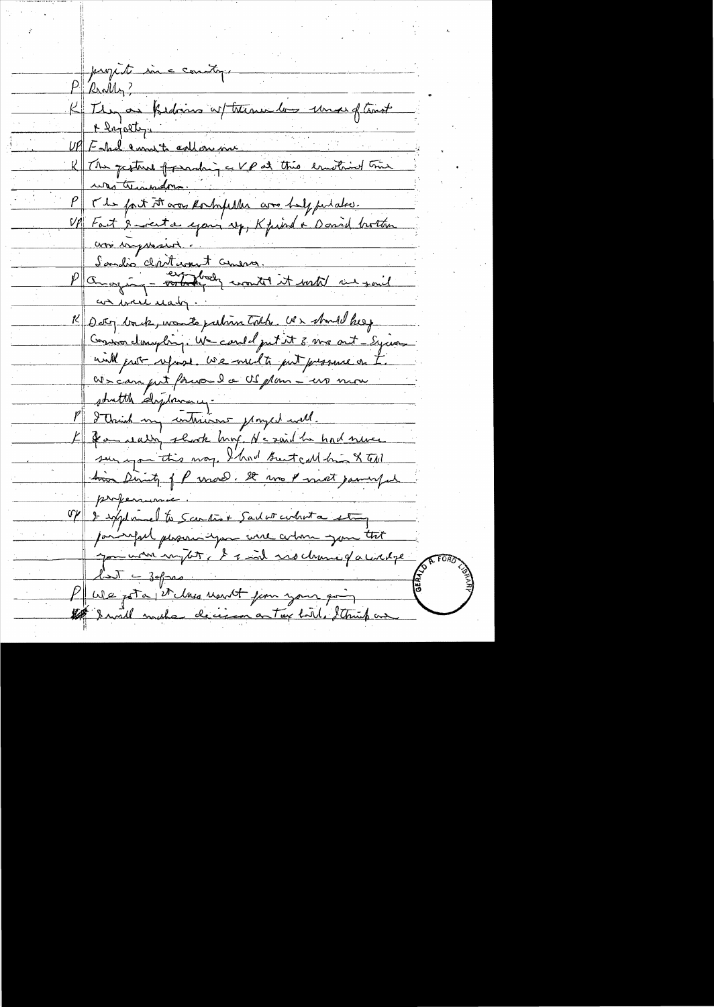proporte in can  $P$  Really? treme las mes of trast K They are Kidows a <u>+ lajolty.</u> UP Fakel amount collores K The gestive of preach pat this essential tries was trinindom. The fact it was Romfiller are helpfulated. Fact & western exponsion to K fished a Daniel bottom was impressed Sandio claritions to and anaging - order and it with us an ware ready K Dety back, wonto pation tolds. Us should keep Convocationspling. We could put it 3 mg out - Equan will gust refuse. We will to put pressure on We can get from la US plan shutthe displanary-I think my intrains proyer will. If you really shook broug, He said he had never sur you this way. I had breat call him & tell time Dirich of P unow. It was I most parmy is proferan V/ 2 september to Scentist Sadat contrata paringal phononicypa une you were empty & t rochare gauciere  $25\sqrt{2}-39$ PUDe pota et class usuit jun your go 18 I will make decision on tax bill, Strick a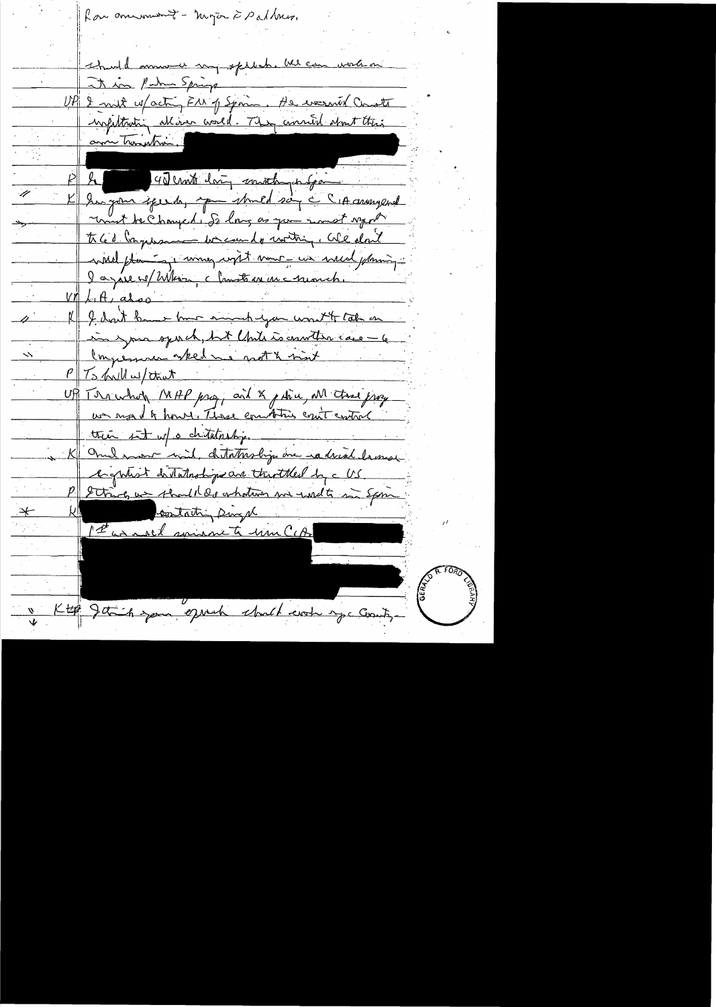Rou anument - myor à Palhur. thuld mount my spliche at in Patro Spring UP 2 mil u/acting F11 p Spoin. He wasn't Consta wrfithating alliver world. They crowned short their am Transtra 40 cmt daing smoth pa  $P$   $R$ Kampon speech, aprendmed say a CIA answered unt be Changed, So long as you want synt th 60 myses on we can do writing, We don't will planning with now we we will planning. la pase el Whom charteau une numeri  $V/LH, also$ If I don't have have much you want to take on in your sport, but Chite is counter care - 6 Congression when we not & not PITS hall w/ that UP The whole MAP pro, and & pain, all the proyer us most of hours. These comptains cont control tree int w/ o chitatoship. K One was with distribution in radical lamose eightest distritoships are throtherd by a US. String we should do whatever we wilt in Spin contacting sings  $\frac{1}{\sqrt{2}}$ 1st as mali spiranite un CIA Ktop Jetich your oppert what work you county.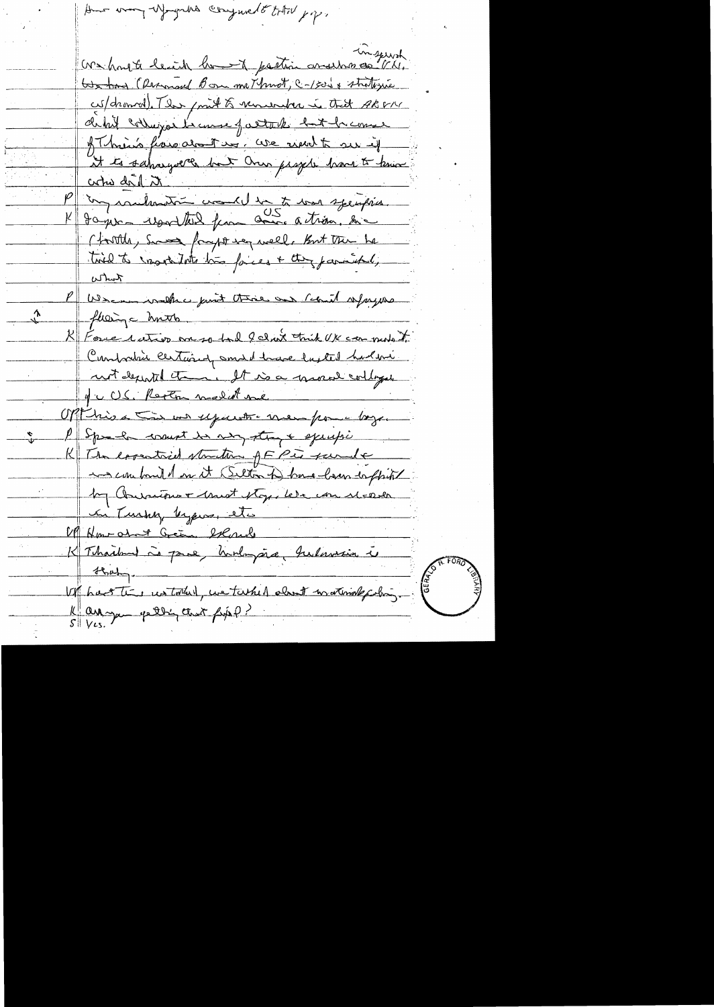in the property of the contract of the same We hand to leach home of pastion and has one VII. Got has Channaud Bon me Thurst, C-1500 + strategie cus/dronnel). The point to venue her in that ARPM detail colleges la course of altack but he comes of him flows about my, we need to see if It to saharyolle but Oren projete have to know coho de 1 m Jaguar usualted from come action, him (forthly, Second foraget we well, But the he tied to resolute his faces + they paraiched, what We are walker just there and could afayou floing christs K Force cutivo on so tol felicit think UK can mote to Construtive certainly small have lasted had me not depended theme It is a grocal colleges 4 c US. Regton model me Off his a time us upwerter men pour boyer P Speech count is my stray & excusio  $\frac{1}{2}$ K The essential structure of EPis surely and comband on it (Selton to) have loven to fhink by Convenience + trust stops lete con MEDela in Turky byjevs, etc Of Hour about Green, example K Thailand à pare, hudingare, hulawais i that Vr hastin un tout une tasked about materiale chi, K arange petting that fixe?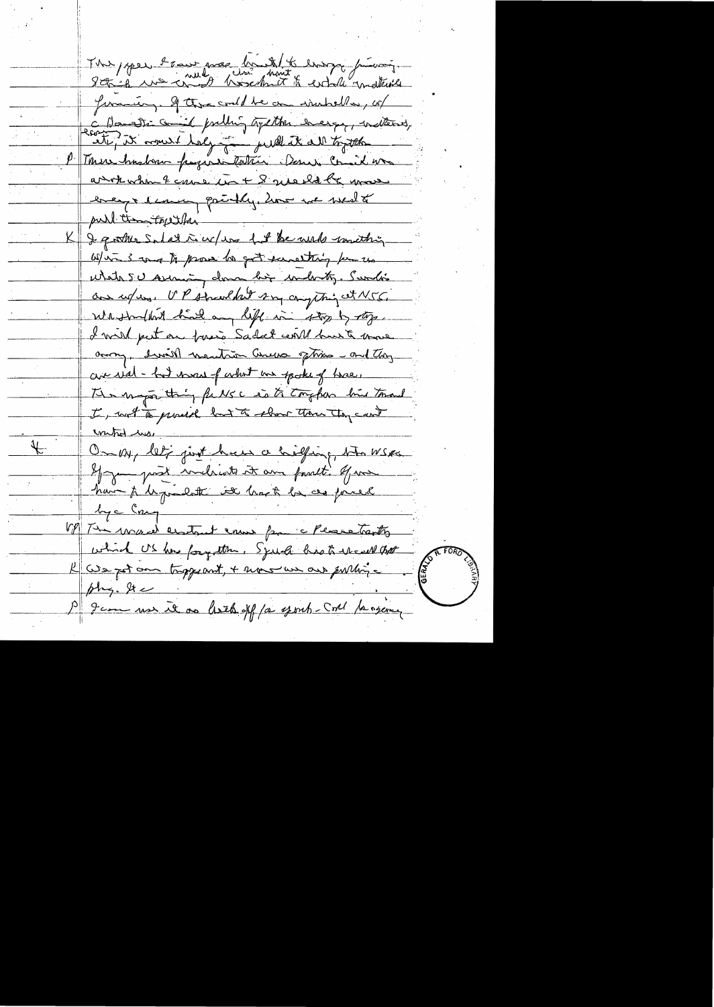The poper have me huit to enough from it Juncting of the could be an instituted, up C Danski comit publig tystte every indtent,<br>earte, it comit tely for publick all together P Tomers husban pages intention Donn Commit un anot when & cause in + 8 ave ld la move breast demen paintly, how we went pull them topether I gother Salat in w/ was fut be wish wanthing Wir 3 mg to prove to got samething for us What SU Arisining down big which Sundi an refuse. UP streethet son compting at NSG. We strucket had any life in the by type. I will put on fair Sadat will bust move among, drived montain Cureos options - and they are real - but wear of what we spoke of twee. The maps thing fulls a so to tougher bin tomand I with to proach but to show the tong count unted we On My let just hear a halfing, the WSK If you past melicate it are possible of me have to be producte it langt be as forced by c Cn VP The was endant ensure from a Please traction which US has forgotten. Speech has to the call that We get and tragerout, + mous un aux publique Jem use it as least off for your Coll fangere